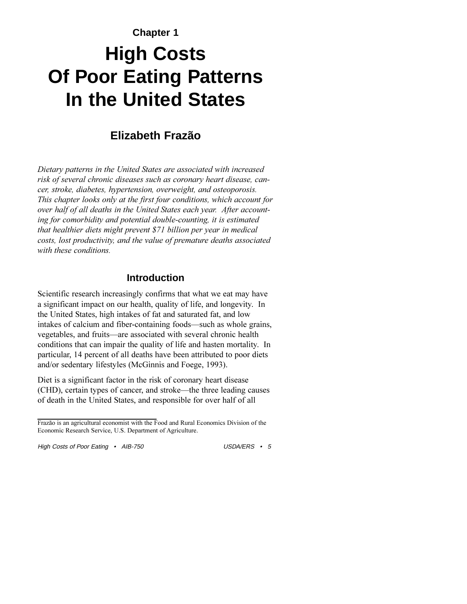# **Chapter 1 High Costs Of Poor Eating Patterns In the United States**

# **Elizabeth Frazão**

*Dietary patterns in the United States are associated with increased risk of several chronic diseases such as coronary heart disease, cancer, stroke, diabetes, hypertension, overweight, and osteoporosis. This chapter looks only at the first four conditions, which account for over half of all deaths in the United States each year. After accounting for comorbidity and potential double-counting, it is estimated that healthier diets might prevent \$71 billion per year in medical costs, lost productivity, and the value of premature deaths associated with these conditions.*

### **Introduction**

Scientific research increasingly confirms that what we eat may have a significant impact on our health, quality of life, and longevity. In the United States, high intakes of fat and saturated fat, and low intakes of calcium and fiber-containing foods—such as whole grains, vegetables, and fruits—are associated with several chronic health conditions that can impair the quality of life and hasten mortality. In particular, 14 percent of all deaths have been attributed to poor diets and/or sedentary lifestyles (McGinnis and Foege, 1993).

Diet is a significant factor in the risk of coronary heart disease (CHD), certain types of cancer, and stroke—the three leading causes of death in the United States, and responsible for over half of all

Frazão is an agricultural economist with the Food and Rural Economics Division of the Economic Research Service, U.S. Department of Agriculture.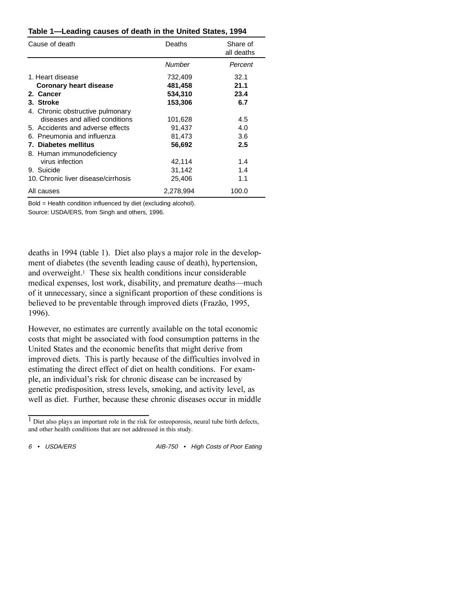| Cause of death                      | Share of<br>Deaths<br>all deaths |         |
|-------------------------------------|----------------------------------|---------|
|                                     | Number                           | Percent |
| 1. Heart disease                    | 732,409                          | 32.1    |
| <b>Coronary heart disease</b>       | 481,458                          | 21.1    |
| 2. Cancer                           | 534,310                          | 23.4    |
| 3. Stroke                           | 153,306                          | 6.7     |
| 4. Chronic obstructive pulmonary    |                                  |         |
| diseases and allied conditions      | 101,628                          | 4.5     |
| 5. Accidents and adverse effects    | 91,437                           | 4.0     |
| 6. Pneumonia and influenza          | 81,473                           | 3.6     |
| 7. Diabetes mellitus                | 56,692                           | 2.5     |
| 8. Human immunodeficiency           |                                  |         |
| virus infection                     | 42,114                           | 1.4     |
| 9. Suicide                          | 31,142                           | 1.4     |
| 10. Chronic liver disease/cirrhosis | 25,406                           | 1.1     |
| All causes                          | 2,278,994                        | 100.0   |

#### **Table 1—Leading causes of death in the United States, 1994**

Bold = Health condition influenced by diet (excluding alcohol). Source: USDA/ERS, from Singh and others, 1996.

deaths in 1994 (table 1). Diet also plays a major role in the development of diabetes (the seventh leading cause of death), hypertension, and overweight.1 These six health conditions incur considerable medical expenses, lost work, disability, and premature deaths—much of it unnecessary, since a significant proportion of these conditions is believed to be preventable through improved diets (Frazão, 1995, 1996).

However, no estimates are currently available on the total economic costs that might be associated with food consumption patterns in the United States and the economic benefits that might derive from improved diets. This is partly because of the difficulties involved in estimating the direct effect of diet on health conditions. For example, an individual's risk for chronic disease can be increased by genetic predisposition, stress levels, smoking, and activity level, as well as diet. Further, because these chronic diseases occur in middle

<sup>&</sup>lt;sup>1</sup> Diet also plays an important role in the risk for osteoporosis, neural tube birth defects, and other health conditions that are not addressed in this study.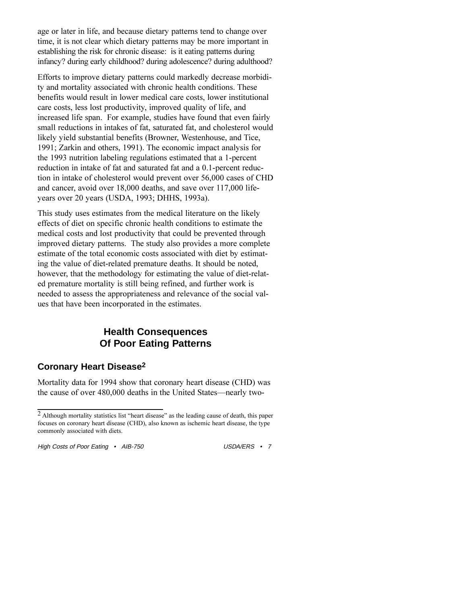age or later in life, and because dietary patterns tend to change over time, it is not clear which dietary patterns may be more important in establishing the risk for chronic disease: is it eating patterns during infancy? during early childhood? during adolescence? during adulthood?

Efforts to improve dietary patterns could markedly decrease morbidity and mortality associated with chronic health conditions. These benefits would result in lower medical care costs, lower institutional care costs, less lost productivity, improved quality of life, and increased life span. For example, studies have found that even fairly small reductions in intakes of fat, saturated fat, and cholesterol would likely yield substantial benefits (Browner, Westenhouse, and Tice, 1991; Zarkin and others, 1991). The economic impact analysis for the 1993 nutrition labeling regulations estimated that a 1-percent reduction in intake of fat and saturated fat and a 0.1-percent reduction in intake of cholesterol would prevent over 56,000 cases of CHD and cancer, avoid over 18,000 deaths, and save over 117,000 lifeyears over 20 years (USDA, 1993; DHHS, 1993a).

This study uses estimates from the medical literature on the likely effects of diet on specific chronic health conditions to estimate the medical costs and lost productivity that could be prevented through improved dietary patterns. The study also provides a more complete estimate of the total economic costs associated with diet by estimating the value of diet-related premature deaths. It should be noted, however, that the methodology for estimating the value of diet-related premature mortality is still being refined, and further work is needed to assess the appropriateness and relevance of the social values that have been incorporated in the estimates.

# **Health Consequences Of Poor Eating Patterns**

## **Coronary Heart Disease2**

Mortality data for 1994 show that coronary heart disease (CHD) was the cause of over 480,000 deaths in the United States—nearly two-

 $<sup>2</sup>$  Although mortality statistics list "heart disease" as the leading cause of death, this paper</sup> focuses on coronary heart disease (CHD), also known as ischemic heart disease, the type commonly associated with diets.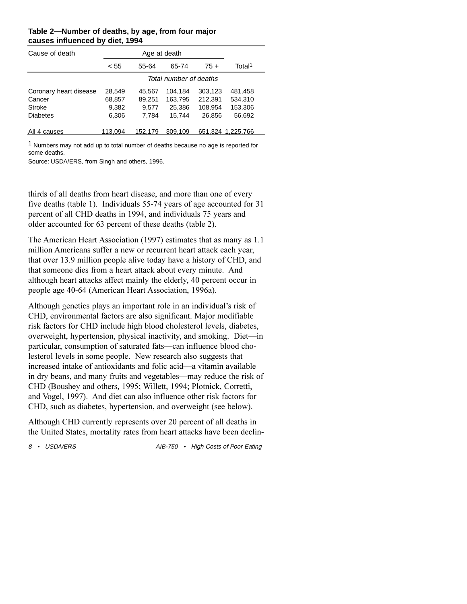| Cause of death         |         | Age at death           |         |         |                    |  |
|------------------------|---------|------------------------|---------|---------|--------------------|--|
|                        | < 55    | 55-64                  | 65-74   | $75+$   | Total <sup>1</sup> |  |
|                        |         | Total number of deaths |         |         |                    |  |
| Coronary heart disease | 28,549  | 45.567                 | 104.184 | 303,123 | 481,458            |  |
| Cancer                 | 68,857  | 89,251                 | 163,795 | 212,391 | 534,310            |  |
| Stroke                 | 9,382   | 9.577                  | 25,386  | 108,954 | 153,306            |  |
| <b>Diabetes</b>        | 6,306   | 7.784                  | 15.744  | 26.856  | 56,692             |  |
| All 4 causes           | 113.094 | 152.179                | 309,109 |         | 651,324 1,225,766  |  |

#### **Table 2—Number of deaths, by age, from four major causes influenced by diet, 1994**

<sup>1</sup> Numbers may not add up to total number of deaths because no age is reported for some deaths.

Source: USDA/ERS, from Singh and others, 1996.

thirds of all deaths from heart disease, and more than one of every five deaths (table 1). Individuals 55-74 years of age accounted for 31 percent of all CHD deaths in 1994, and individuals 75 years and older accounted for 63 percent of these deaths (table 2).

The American Heart Association (1997) estimates that as many as 1.1 million Americans suffer a new or recurrent heart attack each year, that over 13.9 million people alive today have a history of CHD, and that someone dies from a heart attack about every minute. And although heart attacks affect mainly the elderly, 40 percent occur in people age 40-64 (American Heart Association, 1996a).

Although genetics plays an important role in an individual's risk of CHD, environmental factors are also significant. Major modifiable risk factors for CHD include high blood cholesterol levels, diabetes, overweight, hypertension, physical inactivity, and smoking. Diet-in particular, consumption of saturated fats—can influence blood cholesterol levels in some people. New research also suggests that increased intake of antioxidants and folic acid—a vitamin available in dry beans, and many fruits and vegetables—may reduce the risk of CHD (Boushey and others, 1995; Willett, 1994; Plotnick, Corretti, and Vogel, 1997). And diet can also influence other risk factors for CHD, such as diabetes, hypertension, and overweight (see below).

Although CHD currently represents over 20 percent of all deaths in the United States, mortality rates from heart attacks have been declin-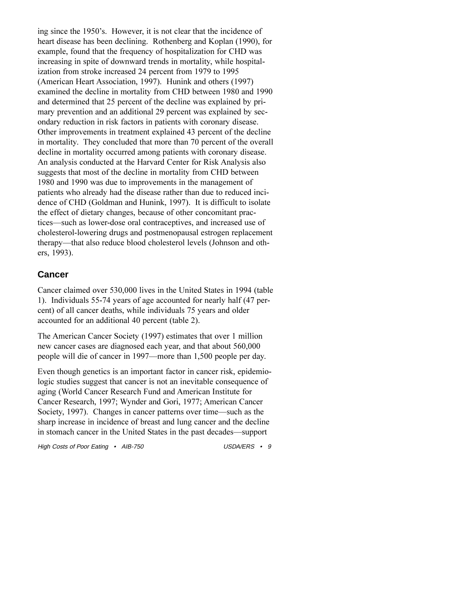ing since the 1950's. However, it is not clear that the incidence of heart disease has been declining. Rothenberg and Koplan (1990), for example, found that the frequency of hospitalization for CHD was increasing in spite of downward trends in mortality, while hospitalization from stroke increased 24 percent from 1979 to 1995 (American Heart Association, 1997). Hunink and others (1997) examined the decline in mortality from CHD between 1980 and 1990 and determined that 25 percent of the decline was explained by primary prevention and an additional 29 percent was explained by secondary reduction in risk factors in patients with coronary disease. Other improvements in treatment explained 43 percent of the decline in mortality. They concluded that more than 70 percent of the overall decline in mortality occurred among patients with coronary disease. An analysis conducted at the Harvard Center for Risk Analysis also suggests that most of the decline in mortality from CHD between 1980 and 1990 was due to improvements in the management of patients who already had the disease rather than due to reduced incidence of CHD (Goldman and Hunink, 1997). It is difficult to isolate the effect of dietary changes, because of other concomitant practices—such as lower-dose oral contraceptives, and increased use of cholesterol-lowering drugs and postmenopausal estrogen replacement therapy-that also reduce blood cholesterol levels (Johnson and others, 1993).

## **Cancer**

Cancer claimed over 530,000 lives in the United States in 1994 (table 1). Individuals 55-74 years of age accounted for nearly half (47 percent) of all cancer deaths, while individuals 75 years and older accounted for an additional 40 percent (table 2).

The American Cancer Society (1997) estimates that over 1 million new cancer cases are diagnosed each year, and that about 560,000 people will die of cancer in 1997—more than 1,500 people per day.

Even though genetics is an important factor in cancer risk, epidemiologic studies suggest that cancer is not an inevitable consequence of aging (World Cancer Research Fund and American Institute for Cancer Research, 1997; Wynder and Gori, 1977; American Cancer Society, 1997). Changes in cancer patterns over time—such as the sharp increase in incidence of breast and lung cancer and the decline in stomach cancer in the United States in the past decades—support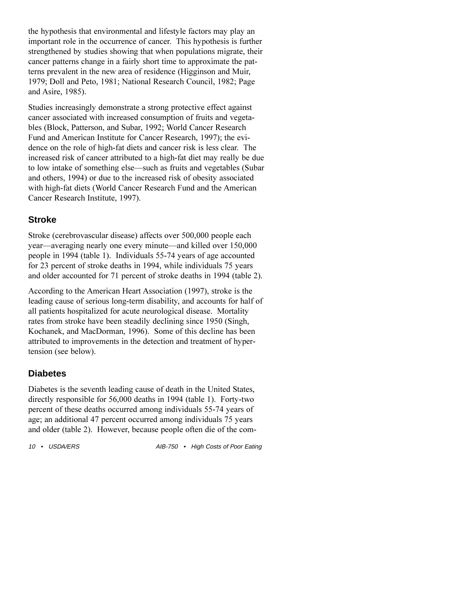the hypothesis that environmental and lifestyle factors may play an important role in the occurrence of cancer. This hypothesis is further strengthened by studies showing that when populations migrate, their cancer patterns change in a fairly short time to approximate the patterns prevalent in the new area of residence (Higginson and Muir, 1979; Doll and Peto, 1981; National Research Council, 1982; Page and Asire, 1985).

Studies increasingly demonstrate a strong protective effect against cancer associated with increased consumption of fruits and vegetables (Block, Patterson, and Subar, 1992; World Cancer Research Fund and American Institute for Cancer Research, 1997); the evidence on the role of high-fat diets and cancer risk is less clear. The increased risk of cancer attributed to a high-fat diet may really be due to low intake of something else—such as fruits and vegetables (Subar and others, 1994) or due to the increased risk of obesity associated with high-fat diets (World Cancer Research Fund and the American Cancer Research Institute, 1997).

## **Stroke**

Stroke (cerebrovascular disease) affects over 500,000 people each year—averaging nearly one every minute—and killed over 150,000 people in 1994 (table 1). Individuals 55-74 years of age accounted for 23 percent of stroke deaths in 1994, while individuals 75 years and older accounted for 71 percent of stroke deaths in 1994 (table 2).

According to the American Heart Association (1997), stroke is the leading cause of serious long-term disability, and accounts for half of all patients hospitalized for acute neurological disease. Mortality rates from stroke have been steadily declining since 1950 (Singh, Kochanek, and MacDorman, 1996). Some of this decline has been attributed to improvements in the detection and treatment of hypertension (see below).

# **Diabetes**

Diabetes is the seventh leading cause of death in the United States, directly responsible for 56,000 deaths in 1994 (table 1). Forty-two percent of these deaths occurred among individuals 55-74 years of age; an additional 47 percent occurred among individuals 75 years and older (table 2). However, because people often die of the com-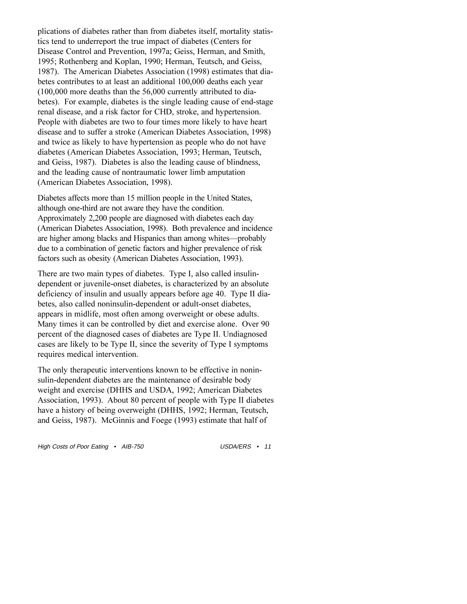plications of diabetes rather than from diabetes itself, mortality statistics tend to underreport the true impact of diabetes (Centers for Disease Control and Prevention, 1997a; Geiss, Herman, and Smith, 1995; Rothenberg and Koplan, 1990; Herman, Teutsch, and Geiss, 1987). The American Diabetes Association (1998) estimates that diabetes contributes to at least an additional 100,000 deaths each year (100,000 more deaths than the 56,000 currently attributed to diabetes). For example, diabetes is the single leading cause of end-stage renal disease, and a risk factor for CHD, stroke, and hypertension. People with diabetes are two to four times more likely to have heart disease and to suffer a stroke (American Diabetes Association, 1998) and twice as likely to have hypertension as people who do not have diabetes (American Diabetes Association, 1993; Herman, Teutsch, and Geiss, 1987). Diabetes is also the leading cause of blindness, and the leading cause of nontraumatic lower limb amputation (American Diabetes Association, 1998).

Diabetes affects more than 15 million people in the United States, although one-third are not aware they have the condition. Approximately 2,200 people are diagnosed with diabetes each day (American Diabetes Association, 1998). Both prevalence and incidence are higher among blacks and Hispanics than among whites—probably due to a combination of genetic factors and higher prevalence of risk factors such as obesity (American Diabetes Association, 1993).

There are two main types of diabetes. Type I, also called insulindependent or juvenile-onset diabetes, is characterized by an absolute deficiency of insulin and usually appears before age 40. Type II diabetes, also called noninsulin-dependent or adult-onset diabetes, appears in midlife, most often among overweight or obese adults. Many times it can be controlled by diet and exercise alone. Over 90 percent of the diagnosed cases of diabetes are Type II. Undiagnosed cases are likely to be Type II, since the severity of Type I symptoms requires medical intervention.

The only therapeutic interventions known to be effective in noninsulin-dependent diabetes are the maintenance of desirable body weight and exercise (DHHS and USDA, 1992; American Diabetes Association, 1993). About 80 percent of people with Type II diabetes have a history of being overweight (DHHS, 1992; Herman, Teutsch, and Geiss, 1987). McGinnis and Foege (1993) estimate that half of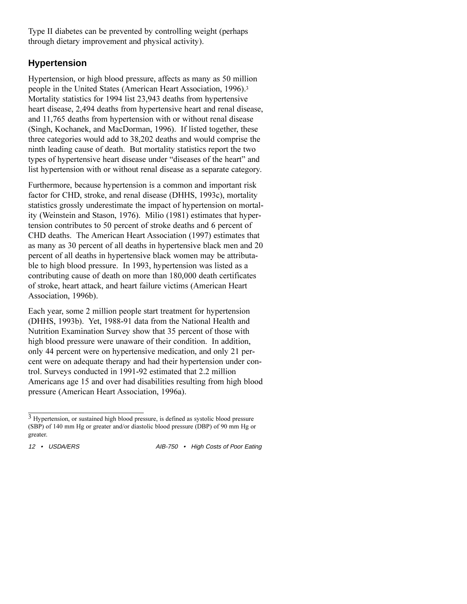Type II diabetes can be prevented by controlling weight (perhaps through dietary improvement and physical activity).

# **Hypertension**

Hypertension, or high blood pressure, affects as many as 50 million people in the United States (American Heart Association, 1996).3 Mortality statistics for 1994 list 23,943 deaths from hypertensive heart disease, 2,494 deaths from hypertensive heart and renal disease, and 11,765 deaths from hypertension with or without renal disease (Singh, Kochanek, and MacDorman, 1996). If listed together, these three categories would add to 38,202 deaths and would comprise the ninth leading cause of death. But mortality statistics report the two types of hypertensive heart disease under "diseases of the heart" and list hypertension with or without renal disease as a separate category.

Furthermore, because hypertension is a common and important risk factor for CHD, stroke, and renal disease (DHHS, 1993c), mortality statistics grossly underestimate the impact of hypertension on mortality (Weinstein and Stason, 1976). Milio (1981) estimates that hypertension contributes to 50 percent of stroke deaths and 6 percent of CHD deaths. The American Heart Association (1997) estimates that as many as 30 percent of all deaths in hypertensive black men and 20 percent of all deaths in hypertensive black women may be attributable to high blood pressure. In 1993, hypertension was listed as a contributing cause of death on more than 180,000 death certificates of stroke, heart attack, and heart failure victims (American Heart Association, 1996b).

Each year, some 2 million people start treatment for hypertension (DHHS, 1993b). Yet, 1988-91 data from the National Health and Nutrition Examination Survey show that 35 percent of those with high blood pressure were unaware of their condition. In addition, only 44 percent were on hypertensive medication, and only 21 percent were on adequate therapy and had their hypertension under control. Surveys conducted in 1991-92 estimated that 2.2 million Americans age 15 and over had disabilities resulting from high blood pressure (American Heart Association, 1996a).

<sup>3</sup> Hypertension, or sustained high blood pressure, is defined as systolic blood pressure (SBP) of 140 mm Hg or greater and/or diastolic blood pressure (DBP) of 90 mm Hg or greater.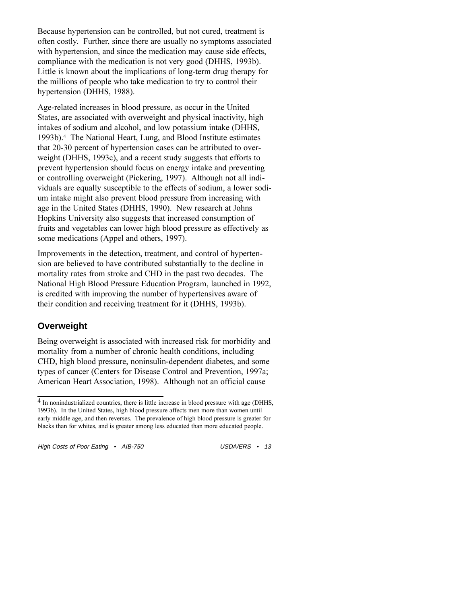Because hypertension can be controlled, but not cured, treatment is often costly. Further, since there are usually no symptoms associated with hypertension, and since the medication may cause side effects, compliance with the medication is not very good (DHHS, 1993b). Little is known about the implications of long-term drug therapy for the millions of people who take medication to try to control their hypertension (DHHS, 1988).

Age-related increases in blood pressure, as occur in the United States, are associated with overweight and physical inactivity, high intakes of sodium and alcohol, and low potassium intake (DHHS, 1993b).4 The National Heart, Lung, and Blood Institute estimates that 20-30 percent of hypertension cases can be attributed to overweight (DHHS, 1993c), and a recent study suggests that efforts to prevent hypertension should focus on energy intake and preventing or controlling overweight (Pickering, 1997). Although not all individuals are equally susceptible to the effects of sodium, a lower sodium intake might also prevent blood pressure from increasing with age in the United States (DHHS, 1990). New research at Johns Hopkins University also suggests that increased consumption of fruits and vegetables can lower high blood pressure as effectively as some medications (Appel and others, 1997).

Improvements in the detection, treatment, and control of hypertension are believed to have contributed substantially to the decline in mortality rates from stroke and CHD in the past two decades. The National High Blood Pressure Education Program, launched in 1992, is credited with improving the number of hypertensives aware of their condition and receiving treatment for it (DHHS, 1993b).

### **Overweight**

Being overweight is associated with increased risk for morbidity and mortality from a number of chronic health conditions, including CHD, high blood pressure, noninsulin-dependent diabetes, and some types of cancer (Centers for Disease Control and Prevention, 1997a; American Heart Association, 1998). Although not an official cause

<sup>4</sup> In nonindustrialized countries, there is little increase in blood pressure with age (DHHS, 1993b). In the United States, high blood pressure affects men more than women until early middle age, and then reverses. The prevalence of high blood pressure is greater for blacks than for whites, and is greater among less educated than more educated people.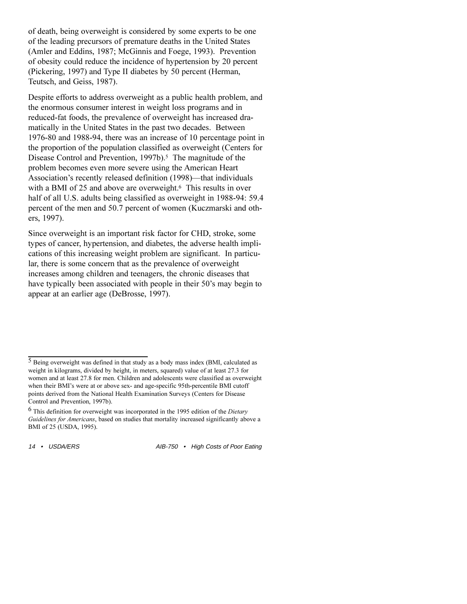of death, being overweight is considered by some experts to be one of the leading precursors of premature deaths in the United States (Amler and Eddins, 1987; McGinnis and Foege, 1993). Prevention of obesity could reduce the incidence of hypertension by 20 percent (Pickering, 1997) and Type II diabetes by 50 percent (Herman, Teutsch, and Geiss, 1987).

Despite efforts to address overweight as a public health problem, and the enormous consumer interest in weight loss programs and in reduced-fat foods, the prevalence of overweight has increased dramatically in the United States in the past two decades. Between 1976-80 and 1988-94, there was an increase of 10 percentage point in the proportion of the population classified as overweight (Centers for Disease Control and Prevention, 1997b).<sup>5</sup> The magnitude of the problem becomes even more severe using the American Heart Association's recently released definition (1998)—that individuals with a BMI of 25 and above are overweight.<sup>6</sup> This results in over half of all U.S. adults being classified as overweight in 1988-94: 59.4 percent of the men and 50.7 percent of women (Kuczmarski and others, 1997).

Since overweight is an important risk factor for CHD, stroke, some types of cancer, hypertension, and diabetes, the adverse health implications of this increasing weight problem are significant. In particular, there is some concern that as the prevalence of overweight increases among children and teenagers, the chronic diseases that have typically been associated with people in their 50's may begin to appear at an earlier age (DeBrosse, 1997).

<sup>5</sup> Being overweight was defined in that study as a body mass index (BMI, calculated as weight in kilograms, divided by height, in meters, squared) value of at least 27.3 for women and at least 27.8 for men. Children and adolescents were classified as overweight when their BMI's were at or above sex- and age-specific 95th-percentile BMI cutoff points derived from the National Health Examination Surveys (Centers for Disease Control and Prevention, 1997b).

<sup>6</sup> This definition for overweight was incorporated in the 1995 edition of the *Dietary Guidelines for Americans*, based on studies that mortality increased significantly above a BMI of 25 (USDA, 1995).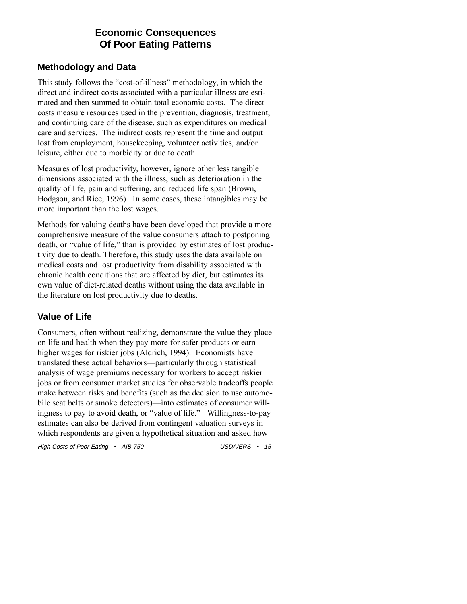# **Economic Consequences Of Poor Eating Patterns**

## **Methodology and Data**

This study follows the "cost-of-illness" methodology, in which the direct and indirect costs associated with a particular illness are estimated and then summed to obtain total economic costs. The direct costs measure resources used in the prevention, diagnosis, treatment, and continuing care of the disease, such as expenditures on medical care and services. The indirect costs represent the time and output lost from employment, housekeeping, volunteer activities, and/or leisure, either due to morbidity or due to death.

Measures of lost productivity, however, ignore other less tangible dimensions associated with the illness, such as deterioration in the quality of life, pain and suffering, and reduced life span (Brown, Hodgson, and Rice, 1996). In some cases, these intangibles may be more important than the lost wages.

Methods for valuing deaths have been developed that provide a more comprehensive measure of the value consumers attach to postponing death, or "value of life," than is provided by estimates of lost productivity due to death. Therefore, this study uses the data available on medical costs and lost productivity from disability associated with chronic health conditions that are affected by diet, but estimates its own value of diet-related deaths without using the data available in the literature on lost productivity due to deaths.

## **Value of Life**

Consumers, often without realizing, demonstrate the value they place on life and health when they pay more for safer products or earn higher wages for riskier jobs (Aldrich, 1994). Economists have translated these actual behaviors—particularly through statistical analysis of wage premiums necessary for workers to accept riskier jobs or from consumer market studies for observable tradeoffs people make between risks and benefits (such as the decision to use automobile seat belts or smoke detectors)—into estimates of consumer willingness to pay to avoid death, or "value of life." Willingness-to-pay estimates can also be derived from contingent valuation surveys in which respondents are given a hypothetical situation and asked how

High Costs of Poor Eating • AIB-750 USDA/ERS • 15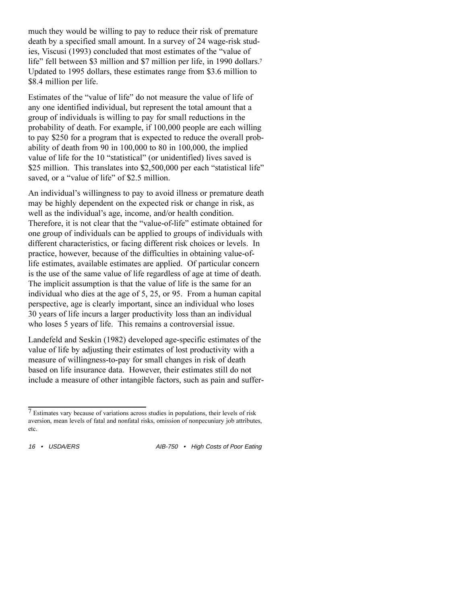much they would be willing to pay to reduce their risk of premature death by a specified small amount. In a survey of 24 wage-risk studies, Viscusi (1993) concluded that most estimates of the "value of life" fell between \$3 million and \$7 million per life, in 1990 dollars.<sup>7</sup> Updated to 1995 dollars, these estimates range from \$3.6 million to \$8.4 million per life.

Estimates of the "value of life" do not measure the value of life of any one identified individual, but represent the total amount that a group of individuals is willing to pay for small reductions in the probability of death. For example, if 100,000 people are each willing to pay \$250 for a program that is expected to reduce the overall probability of death from 90 in 100,000 to 80 in 100,000, the implied value of life for the 10 "statistical" (or unidentified) lives saved is \$25 million. This translates into \$2,500,000 per each "statistical life" saved, or a "value of life" of \$2.5 million.

An individual's willingness to pay to avoid illness or premature death may be highly dependent on the expected risk or change in risk, as well as the individual's age, income, and/or health condition. Therefore, it is not clear that the "value-of-life" estimate obtained for one group of individuals can be applied to groups of individuals with different characteristics, or facing different risk choices or levels. In practice, however, because of the difficulties in obtaining value-oflife estimates, available estimates are applied. Of particular concern is the use of the same value of life regardless of age at time of death. The implicit assumption is that the value of life is the same for an individual who dies at the age of 5, 25, or 95. From a human capital perspective, age is clearly important, since an individual who loses 30 years of life incurs a larger productivity loss than an individual who loses 5 years of life. This remains a controversial issue.

Landefeld and Seskin (1982) developed age-specific estimates of the value of life by adjusting their estimates of lost productivity with a measure of willingness-to-pay for small changes in risk of death based on life insurance data. However, their estimates still do not include a measure of other intangible factors, such as pain and suffer-

<sup>7</sup> Estimates vary because of variations across studies in populations, their levels of risk aversion, mean levels of fatal and nonfatal risks, omission of nonpecuniary job attributes, etc.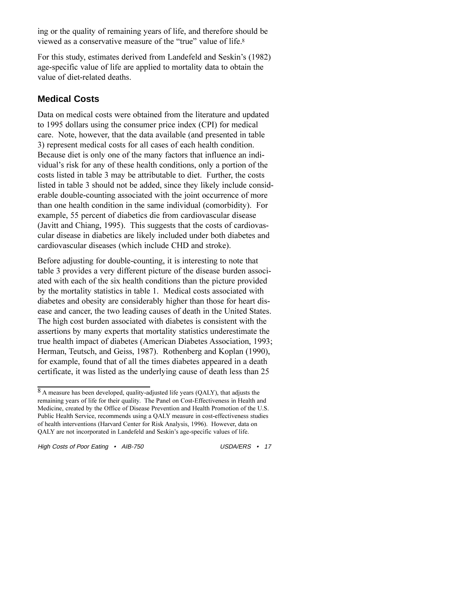ing or the quality of remaining years of life, and therefore should be viewed as a conservative measure of the "true" value of life.<sup>8</sup>

For this study, estimates derived from Landefeld and Seskin's (1982) age-specific value of life are applied to mortality data to obtain the value of diet-related deaths.

## **Medical Costs**

Data on medical costs were obtained from the literature and updated to 1995 dollars using the consumer price index (CPI) for medical care. Note, however, that the data available (and presented in table 3) represent medical costs for all cases of each health condition. Because diet is only one of the many factors that influence an individual's risk for any of these health conditions, only a portion of the costs listed in table 3 may be attributable to diet. Further, the costs listed in table 3 should not be added, since they likely include considerable double-counting associated with the joint occurrence of more than one health condition in the same individual (comorbidity). For example, 55 percent of diabetics die from cardiovascular disease (Javitt and Chiang, 1995). This suggests that the costs of cardiovascular disease in diabetics are likely included under both diabetes and cardiovascular diseases (which include CHD and stroke).

Before adjusting for double-counting, it is interesting to note that table 3 provides a very different picture of the disease burden associated with each of the six health conditions than the picture provided by the mortality statistics in table 1. Medical costs associated with diabetes and obesity are considerably higher than those for heart disease and cancer, the two leading causes of death in the United States. The high cost burden associated with diabetes is consistent with the assertions by many experts that mortality statistics underestimate the true health impact of diabetes (American Diabetes Association, 1993; Herman, Teutsch, and Geiss, 1987). Rothenberg and Koplan (1990), for example, found that of all the times diabetes appeared in a death certificate, it was listed as the underlying cause of death less than 25

<sup>8</sup> A measure has been developed, quality-adjusted life years (QALY), that adjusts the remaining years of life for their quality. The Panel on Cost-Effectiveness in Health and Medicine, created by the Office of Disease Prevention and Health Promotion of the U.S. Public Health Service, recommends using a QALY measure in cost-effectiveness studies of health interventions (Harvard Center for Risk Analysis, 1996). However, data on QALY are not incorporated in Landefeld and Seskin's age-specific values of life.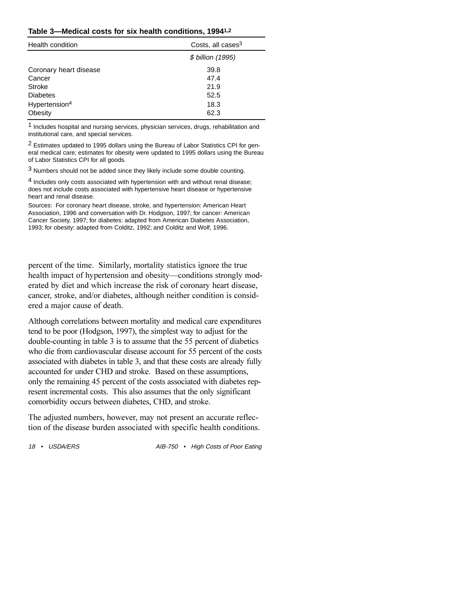|  |  |  |  | Table 3-Medical costs for six health conditions, 19941,2 |  |
|--|--|--|--|----------------------------------------------------------|--|
|--|--|--|--|----------------------------------------------------------|--|

| Health condition          | Costs, all cases <sup>3</sup> |  |  |
|---------------------------|-------------------------------|--|--|
|                           | \$ billion (1995)             |  |  |
| Coronary heart disease    | 39.8                          |  |  |
| Cancer<br><b>Stroke</b>   | 47.4<br>21.9                  |  |  |
| <b>Diabetes</b>           | 52.5                          |  |  |
| Hypertension <sup>4</sup> | 18.3                          |  |  |
| Obesity                   | 62.3                          |  |  |

1 Includes hospital and nursing services, physician services, drugs, rehabilitation and institutional care, and special services.

2 Estimates updated to 1995 dollars using the Bureau of Labor Statistics CPI for general medical care; estimates for obesity were updated to 1995 dollars using the Bureau of Labor Statistics CPI for all goods.

3 Numbers should not be added since they likely include some double counting.

4 Includes only costs associated with hypertension with and without renal disease; does not include costs associated with hypertensive heart disease or hypertensive heart and renal disease.

Sources: For coronary heart disease, stroke, and hypertension: American Heart Association, 1996 and conversation with Dr. Hodgson, 1997; for cancer: American Cancer Society, 1997; for diabetes: adapted from American Diabetes Association, 1993; for obesity: adapted from Colditz, 1992; and Colditz and Wolf, 1996.

percent of the time. Similarly, mortality statistics ignore the true health impact of hypertension and obesity—conditions strongly moderated by diet and which increase the risk of coronary heart disease, cancer, stroke, and/or diabetes, although neither condition is considered a major cause of death.

Although correlations between mortality and medical care expenditures tend to be poor (Hodgson, 1997), the simplest way to adjust for the double-counting in table 3 is to assume that the 55 percent of diabetics who die from cardiovascular disease account for 55 percent of the costs associated with diabetes in table 3, and that these costs are already fully accounted for under CHD and stroke. Based on these assumptions, only the remaining 45 percent of the costs associated with diabetes represent incremental costs. This also assumes that the only significant comorbidity occurs between diabetes, CHD, and stroke.

The adjusted numbers, however, may not present an accurate reflection of the disease burden associated with specific health conditions.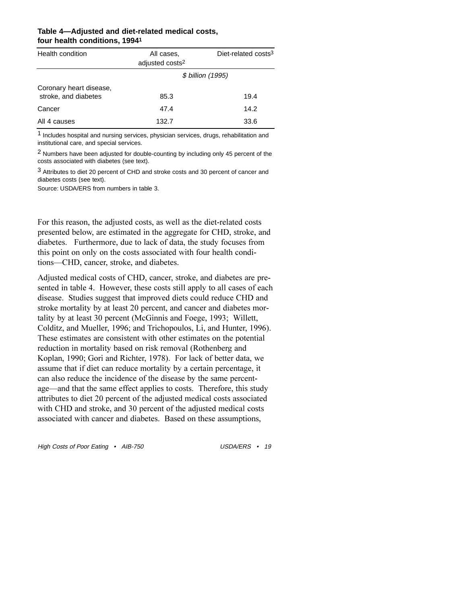| Health condition                                | All cases,<br>adjusted costs <sup>2</sup> | Diet-related costs <sup>3</sup> |  |
|-------------------------------------------------|-------------------------------------------|---------------------------------|--|
|                                                 | \$ billion (1995)                         |                                 |  |
| Coronary heart disease,<br>stroke, and diabetes | 85.3                                      | 19.4                            |  |
| Cancer                                          | 47.4                                      | 14.2                            |  |
| All 4 causes                                    | 132.7                                     | 33.6                            |  |

#### **Table 4—Adjusted and diet-related medical costs, four health conditions, 19941**

 $<sup>1</sup>$  Includes hospital and nursing services, physician services, drugs, rehabilitation and</sup> institutional care, and special services.

2 Numbers have been adjusted for double-counting by including only 45 percent of the costs associated with diabetes (see text).

3 Attributes to diet 20 percent of CHD and stroke costs and 30 percent of cancer and diabetes costs (see text).

Source: USDA/ERS from numbers in table 3.

For this reason, the adjusted costs, as well as the diet-related costs presented below, are estimated in the aggregate for CHD, stroke, and diabetes. Furthermore, due to lack of data, the study focuses from this point on only on the costs associated with four health conditions-CHD, cancer, stroke, and diabetes.

Adjusted medical costs of CHD, cancer, stroke, and diabetes are presented in table 4. However, these costs still apply to all cases of each disease. Studies suggest that improved diets could reduce CHD and stroke mortality by at least 20 percent, and cancer and diabetes mortality by at least 30 percent (McGinnis and Foege, 1993; Willett, Colditz, and Mueller, 1996; and Trichopoulos, Li, and Hunter, 1996). These estimates are consistent with other estimates on the potential reduction in mortality based on risk removal (Rothenberg and Koplan, 1990; Gori and Richter, 1978). For lack of better data, we assume that if diet can reduce mortality by a certain percentage, it can also reduce the incidence of the disease by the same percentage—and that the same effect applies to costs. Therefore, this study attributes to diet 20 percent of the adjusted medical costs associated with CHD and stroke, and 30 percent of the adjusted medical costs associated with cancer and diabetes. Based on these assumptions,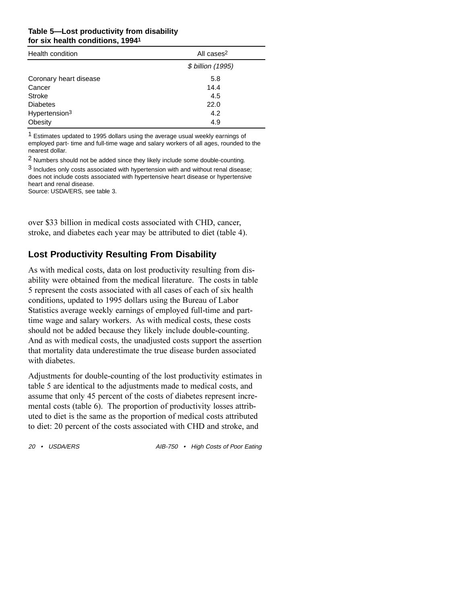#### **Table 5—Lost productivity from disability for six health conditions, 19941**

| Health condition          | All cases <sup>2</sup> |  |  |  |
|---------------------------|------------------------|--|--|--|
|                           | \$ billion (1995)      |  |  |  |
| Coronary heart disease    | 5.8                    |  |  |  |
| Cancer                    | 14.4                   |  |  |  |
| <b>Stroke</b>             | 4.5                    |  |  |  |
| <b>Diabetes</b>           | 22.0                   |  |  |  |
| Hypertension <sup>3</sup> | 4.2                    |  |  |  |
| Obesity                   | 4.9                    |  |  |  |

1 Estimates updated to 1995 dollars using the average usual weekly earnings of employed part- time and full-time wage and salary workers of all ages, rounded to the nearest dollar.

2 Numbers should not be added since they likely include some double-counting.

 $3$  Includes only costs associated with hypertension with and without renal disease: does not include costs associated with hypertensive heart disease or hypertensive heart and renal disease.

Source: USDA/ERS, see table 3.

over \$33 billion in medical costs associated with CHD, cancer, stroke, and diabetes each year may be attributed to diet (table 4).

### **Lost Productivity Resulting From Disability**

As with medical costs, data on lost productivity resulting from disability were obtained from the medical literature. The costs in table 5 represent the costs associated with all cases of each of six health conditions, updated to 1995 dollars using the Bureau of Labor Statistics average weekly earnings of employed full-time and parttime wage and salary workers. As with medical costs, these costs should not be added because they likely include double-counting. And as with medical costs, the unadjusted costs support the assertion that mortality data underestimate the true disease burden associated with diabetes.

Adjustments for double-counting of the lost productivity estimates in table 5 are identical to the adjustments made to medical costs, and assume that only 45 percent of the costs of diabetes represent incremental costs (table 6). The proportion of productivity losses attributed to diet is the same as the proportion of medical costs attributed to diet: 20 percent of the costs associated with CHD and stroke, and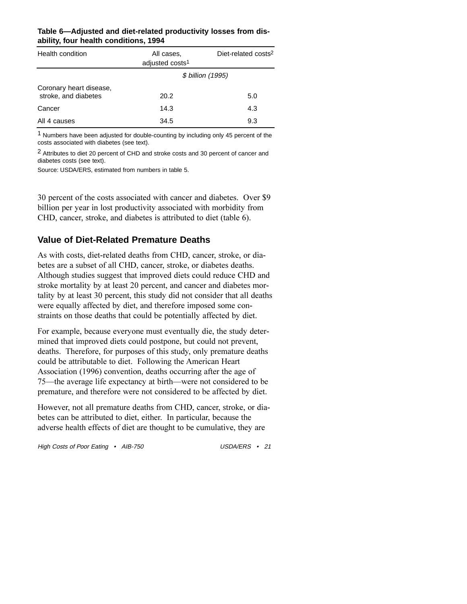| Health condition                                | All cases.<br>adjusted costs <sup>1</sup> | Diet-related costs <sup>2</sup> |  |
|-------------------------------------------------|-------------------------------------------|---------------------------------|--|
|                                                 | \$ billion (1995)                         |                                 |  |
| Coronary heart disease,<br>stroke, and diabetes | 20.2                                      | 5.0                             |  |
| Cancer                                          | 14.3                                      | 4.3                             |  |
| All 4 causes                                    | 34.5                                      | 9.3                             |  |

#### **Table 6—Adjusted and diet-related productivity losses from disability, four health conditions, 1994**

 $1$  Numbers have been adjusted for double-counting by including only 45 percent of the costs associated with diabetes (see text).

2 Attributes to diet 20 percent of CHD and stroke costs and 30 percent of cancer and diabetes costs (see text).

Source: USDA/ERS, estimated from numbers in table 5.

30 percent of the costs associated with cancer and diabetes. Over \$9 billion per year in lost productivity associated with morbidity from CHD, cancer, stroke, and diabetes is attributed to diet (table 6).

### **Value of Diet-Related Premature Deaths**

As with costs, diet-related deaths from CHD, cancer, stroke, or diabetes are a subset of all CHD, cancer, stroke, or diabetes deaths. Although studies suggest that improved diets could reduce CHD and stroke mortality by at least 20 percent, and cancer and diabetes mortality by at least 30 percent, this study did not consider that all deaths were equally affected by diet, and therefore imposed some constraints on those deaths that could be potentially affected by diet.

For example, because everyone must eventually die, the study determined that improved diets could postpone, but could not prevent, deaths. Therefore, for purposes of this study, only premature deaths could be attributable to diet. Following the American Heart Association (1996) convention, deaths occurring after the age of 75—the average life expectancy at birth—were not considered to be premature, and therefore were not considered to be affected by diet.

However, not all premature deaths from CHD, cancer, stroke, or diabetes can be attributed to diet, either. In particular, because the adverse health effects of diet are thought to be cumulative, they are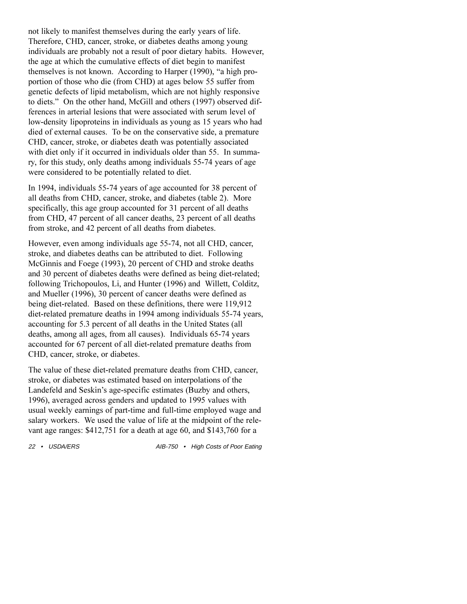not likely to manifest themselves during the early years of life. Therefore, CHD, cancer, stroke, or diabetes deaths among young individuals are probably not a result of poor dietary habits. However, the age at which the cumulative effects of diet begin to manifest themselves is not known. According to Harper (1990), "a high proportion of those who die (from CHD) at ages below 55 suffer from genetic defects of lipid metabolism, which are not highly responsive to diets." On the other hand, McGill and others (1997) observed differences in arterial lesions that were associated with serum level of low-density lipoproteins in individuals as young as 15 years who had died of external causes. To be on the conservative side, a premature CHD, cancer, stroke, or diabetes death was potentially associated with diet only if it occurred in individuals older than 55. In summary, for this study, only deaths among individuals 55-74 years of age were considered to be potentially related to diet.

In 1994, individuals 55-74 years of age accounted for 38 percent of all deaths from CHD, cancer, stroke, and diabetes (table 2). More specifically, this age group accounted for 31 percent of all deaths from CHD, 47 percent of all cancer deaths, 23 percent of all deaths from stroke, and 42 percent of all deaths from diabetes.

However, even among individuals age 55-74, not all CHD, cancer, stroke, and diabetes deaths can be attributed to diet. Following McGinnis and Foege (1993), 20 percent of CHD and stroke deaths and 30 percent of diabetes deaths were defined as being diet-related; following Trichopoulos, Li, and Hunter (1996) and Willett, Colditz, and Mueller (1996), 30 percent of cancer deaths were defined as being diet-related. Based on these definitions, there were 119,912 diet-related premature deaths in 1994 among individuals 55-74 years, accounting for 5.3 percent of all deaths in the United States (all deaths, among all ages, from all causes). Individuals 65-74 years accounted for 67 percent of all diet-related premature deaths from CHD, cancer, stroke, or diabetes.

The value of these diet-related premature deaths from CHD, cancer, stroke, or diabetes was estimated based on interpolations of the Landefeld and Seskin's age-specific estimates (Buzby and others, 1996), averaged across genders and updated to 1995 values with usual weekly earnings of part-time and full-time employed wage and salary workers. We used the value of life at the midpoint of the relevant age ranges: \$412,751 for a death at age 60, and \$143,760 for a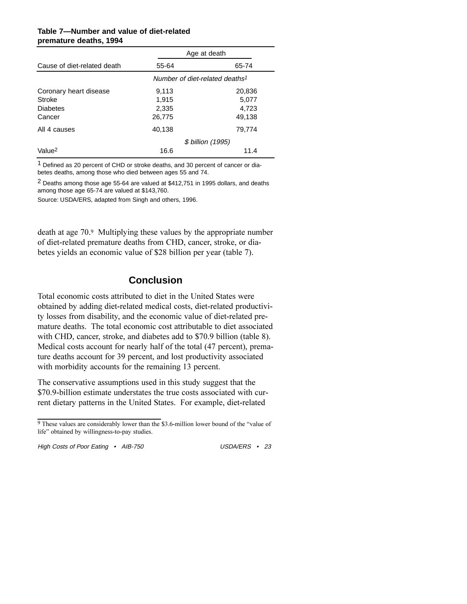|                             | Age at death                               |        |  |
|-----------------------------|--------------------------------------------|--------|--|
| Cause of diet-related death | 55-64                                      | 65-74  |  |
|                             | Number of diet-related deaths <sup>1</sup> |        |  |
| Coronary heart disease      | 9,113                                      | 20,836 |  |
| Stroke                      | 1.915                                      | 5,077  |  |
| <b>Diabetes</b>             | 2,335                                      | 4,723  |  |
| Cancer                      | 26,775                                     | 49,138 |  |
| All 4 causes                | 40,138                                     | 79,774 |  |
|                             | \$ billion (1995)                          |        |  |
| Value <sup>2</sup>          | 16.6                                       | 11.4   |  |

#### **Table 7—Number and value of diet-related premature deaths, 1994**

 $1$  Defined as 20 percent of CHD or stroke deaths, and 30 percent of cancer or diabetes deaths, among those who died between ages 55 and 74.

 $2$  Deaths among those age 55-64 are valued at \$412,751 in 1995 dollars, and deaths among those age 65-74 are valued at \$143,760.

Source: USDA/ERS, adapted from Singh and others, 1996.

death at age 70.9 Multiplying these values by the appropriate number of diet-related premature deaths from CHD, cancer, stroke, or diabetes yields an economic value of \$28 billion per year (table 7).

# **Conclusion**

Total economic costs attributed to diet in the United States were obtained by adding diet-related medical costs, diet-related productivity losses from disability, and the economic value of diet-related premature deaths. The total economic cost attributable to diet associated with CHD, cancer, stroke, and diabetes add to \$70.9 billion (table 8). Medical costs account for nearly half of the total (47 percent), premature deaths account for 39 percent, and lost productivity associated with morbidity accounts for the remaining 13 percent.

The conservative assumptions used in this study suggest that the \$70.9-billion estimate understates the true costs associated with current dietary patterns in the United States. For example, diet-related

 $9$  These values are considerably lower than the \$3.6-million lower bound of the "value of life" obtained by willingness-to-pay studies.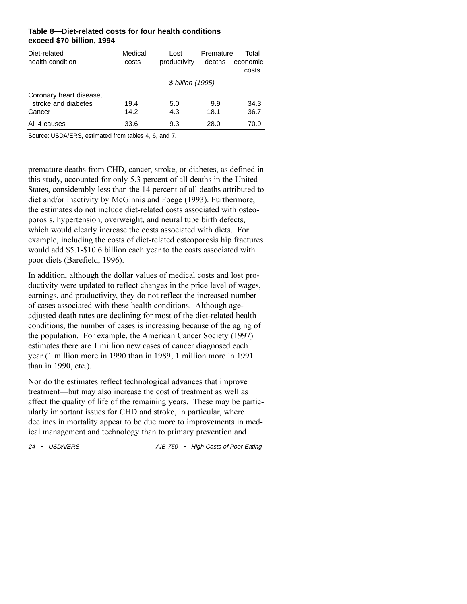| Diet-related<br>health condition                         | Medical<br>costs | Lost<br>productivity | Premature<br>deaths | Total<br>economic<br>costs |
|----------------------------------------------------------|------------------|----------------------|---------------------|----------------------------|
|                                                          |                  | \$ billion (1995)    |                     |                            |
| Coronary heart disease,<br>stroke and diabetes<br>Cancer | 19.4<br>14.2     | 5.0<br>4.3           | 9.9<br>18.1         | 34.3<br>36.7               |
| All 4 causes                                             | 33.6             | 9.3                  | 28.0                | 70.9                       |

#### **Table 8—Diet-related costs for four health conditions exceed \$70 billion, 1994**

Source: USDA/ERS, estimated from tables 4, 6, and 7.

premature deaths from CHD, cancer, stroke, or diabetes, as defined in this study, accounted for only 5.3 percent of all deaths in the United States, considerably less than the 14 percent of all deaths attributed to diet and/or inactivity by McGinnis and Foege (1993). Furthermore, the estimates do not include diet-related costs associated with osteoporosis, hypertension, overweight, and neural tube birth defects, which would clearly increase the costs associated with diets. For example, including the costs of diet-related osteoporosis hip fractures would add \$5.1-\$10.6 billion each year to the costs associated with poor diets (Barefield, 1996).

In addition, although the dollar values of medical costs and lost productivity were updated to reflect changes in the price level of wages, earnings, and productivity, they do not reflect the increased number of cases associated with these health conditions. Although ageadjusted death rates are declining for most of the diet-related health conditions, the number of cases is increasing because of the aging of the population. For example, the American Cancer Society (1997) estimates there are 1 million new cases of cancer diagnosed each year (1 million more in 1990 than in 1989; 1 million more in 1991 than in 1990, etc.).

Nor do the estimates reflect technological advances that improve treatment—but may also increase the cost of treatment as well as affect the quality of life of the remaining years. These may be particularly important issues for CHD and stroke, in particular, where declines in mortality appear to be due more to improvements in medical management and technology than to primary prevention and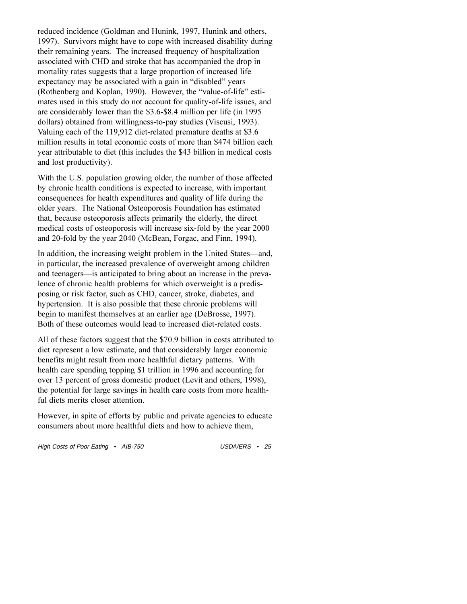reduced incidence (Goldman and Hunink, 1997, Hunink and others, 1997). Survivors might have to cope with increased disability during their remaining years. The increased frequency of hospitalization associated with CHD and stroke that has accompanied the drop in mortality rates suggests that a large proportion of increased life expectancy may be associated with a gain in "disabled" years (Rothenberg and Koplan, 1990). However, the "value-of-life" estimates used in this study do not account for quality-of-life issues, and are considerably lower than the \$3.6-\$8.4 million per life (in 1995 dollars) obtained from willingness-to-pay studies (Viscusi, 1993). Valuing each of the 119,912 diet-related premature deaths at \$3.6 million results in total economic costs of more than \$474 billion each year attributable to diet (this includes the \$43 billion in medical costs and lost productivity).

With the U.S. population growing older, the number of those affected by chronic health conditions is expected to increase, with important consequences for health expenditures and quality of life during the older years. The National Osteoporosis Foundation has estimated that, because osteoporosis affects primarily the elderly, the direct medical costs of osteoporosis will increase six-fold by the year 2000 and 20-fold by the year 2040 (McBean, Forgac, and Finn, 1994).

In addition, the increasing weight problem in the United States—and, in particular, the increased prevalence of overweight among children and teenagers—is anticipated to bring about an increase in the prevalence of chronic health problems for which overweight is a predisposing or risk factor, such as CHD, cancer, stroke, diabetes, and hypertension. It is also possible that these chronic problems will begin to manifest themselves at an earlier age (DeBrosse, 1997). Both of these outcomes would lead to increased diet-related costs.

All of these factors suggest that the \$70.9 billion in costs attributed to diet represent a low estimate, and that considerably larger economic benefits might result from more healthful dietary patterns. With health care spending topping \$1 trillion in 1996 and accounting for over 13 percent of gross domestic product (Levit and others, 1998), the potential for large savings in health care costs from more healthful diets merits closer attention.

However, in spite of efforts by public and private agencies to educate consumers about more healthful diets and how to achieve them,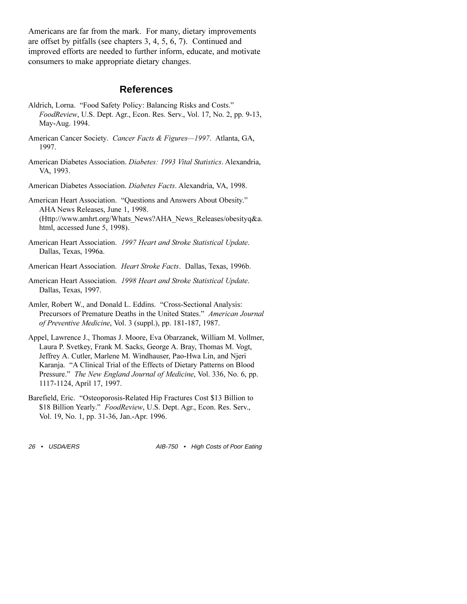Americans are far from the mark. For many, dietary improvements are offset by pitfalls (see chapters 3, 4, 5, 6, 7). Continued and improved efforts are needed to further inform, educate, and motivate consumers to make appropriate dietary changes.

#### **References**

- Aldrich, Lorna. "Food Safety Policy: Balancing Risks and Costs." *FoodReview*, U.S. Dept. Agr., Econ. Res. Serv., Vol. 17, No. 2, pp. 9-13, May-Aug. 1994.
- American Cancer Society. *Cancer Facts & Figures*-1997. Atlanta, GA, 1997.
- American Diabetes Association. *Diabetes: 1993 Vital Statistics*. Alexandria, VA, 1993.
- American Diabetes Association. *Diabetes Facts*. Alexandria, VA, 1998.

American Heart Association. "Questions and Answers About Obesity." AHA News Releases, June 1, 1998. (Http://www.amhrt.org/Whats\_News?AHA\_News\_Releases/obesityq&a. html, accessed June 5, 1998).

- American Heart Association. *1997 Heart and Stroke Statistical Update*. Dallas, Texas, 1996a.
- American Heart Association. *Heart Stroke Facts*. Dallas, Texas, 1996b.
- American Heart Association. *1998 Heart and Stroke Statistical Update*. Dallas, Texas, 1997.
- Amler, Robert W., and Donald L. Eddins. "Cross-Sectional Analysis: Precursors of Premature Deaths in the United States. *American Journal of Preventive Medicine*, Vol. 3 (suppl.), pp. 181-187, 1987.
- Appel, Lawrence J., Thomas J. Moore, Eva Obarzanek, William M. Vollmer, Laura P. Svetkey, Frank M. Sacks, George A. Bray, Thomas M. Vogt, Jeffrey A. Cutler, Marlene M. Windhauser, Pao-Hwa Lin, and Njeri Karanja. "A Clinical Trial of the Effects of Dietary Patterns on Blood Pressure." *The New England Journal of Medicine*, Vol. 336, No. 6, pp. 1117-1124, April 17, 1997.
- Barefield, Eric. "Osteoporosis-Related Hip Fractures Cost \$13 Billion to \$18 Billion Yearly." *FoodReview*, U.S. Dept. Agr., Econ. Res. Serv., Vol. 19, No. 1, pp. 31-36, Jan.-Apr. 1996.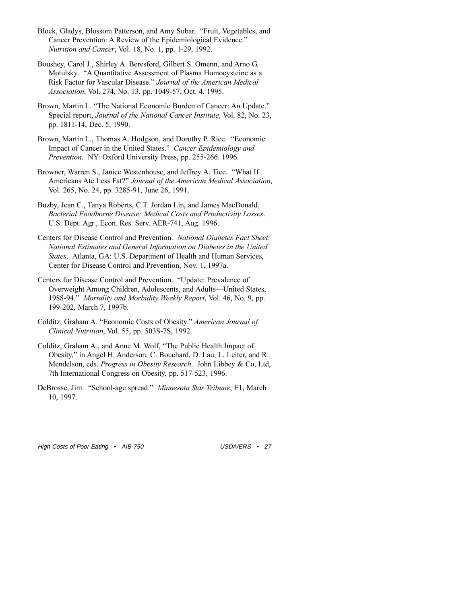- Block, Gladys, Blossom Patterson, and Amy Subar. "Fruit, Vegetables, and Cancer Prevention: A Review of the Epidemiological Evidence. *Nutrition and Cancer*, Vol. 18, No. 1, pp. 1-29, 1992.
- Boushey, Carol J., Shirley A. Beresford, Gilbert S. Omenn, and Arno G. Motulsky. "A Quantitative Assessment of Plasma Homocysteine as a Risk Factor for Vascular Disease. *Journal of the American Medical Association*, Vol. 274, No. 13, pp. 1049-57, Oct. 4, 1995.
- Brown, Martin L. "The National Economic Burden of Cancer: An Update." Special report, *Journal of the National Cancer Institute*, Vol. 82, No. 23, pp. 1811-14, Dec. 5, 1990.
- Brown, Martin L., Thomas A. Hodgson, and Dorothy P. Rice. "Economic Impact of Cancer in the United States. *Cancer Epidemiology and Prevention*. NY: Oxford University Press, pp. 255-266. 1996.
- Browner, Warren S., Janice Westenhouse, and Jeffrey A. Tice. "What If Americans Ate Less Fat?" Journal of the American Medical Association, Vol. 265, No. 24, pp. 3285-91, June 26, 1991.
- Buzby, Jean C., Tanya Roberts, C.T. Jordan Lin, and James MacDonald. *Bacterial Foodborne Disease: Medical Costs and Productivity Losses*. U.S. Dept. Agr., Econ. Res. Serv. AER-741, Aug. 1996.
- Centers for Disease Control and Prevention. *National Diabetes Fact Sheet: National Estimates and General Information on Diabetes in the United States*. Atlanta, GA: U.S. Department of Health and Human Services, Center for Disease Control and Prevention, Nov. 1, 1997a.
- Centers for Disease Control and Prevention. "Update: Prevalence of Overweight Among Children, Adolescents, and Adults—United States, 1988-94. *Mortality and Morbidity Weekly Report*, Vol. 46, No. 9, pp. 199-202, March 7, 1997b.
- Colditz, Graham A. "Economic Costs of Obesity." *American Journal of Clinical Nutrition*, Vol. 55, pp. 503S-7S, 1992.
- Colditz, Graham A., and Anne M. Wolf, "The Public Health Impact of Obesity," in Angel H. Anderson, C. Bouchard, D. Lau, L. Leiter, and R. Mendelson, eds. *Progress in Obesity Research*. John Libbey & Co, Ltd, 7th International Congress on Obesity, pp. 517-523, 1996.
- DeBrosse, Jim. "School-age spread." Minnesota Star Tribune, E1, March 10, 1997.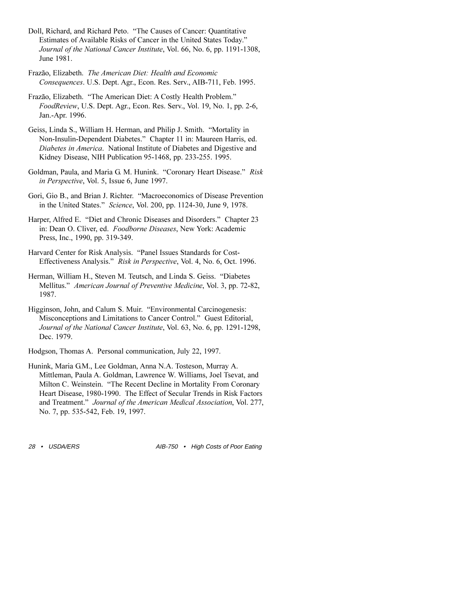- Doll, Richard, and Richard Peto. "The Causes of Cancer: Quantitative Estimates of Available Risks of Cancer in the United States Today. *Journal of the National Cancer Institute*, Vol. 66, No. 6, pp. 1191-1308, June 1981.
- Frazão, Elizabeth. *The American Diet: Health and Economic Consequences*. U.S. Dept. Agr., Econ. Res. Serv., AIB-711, Feb. 1995.
- Frazão, Elizabeth. "The American Diet: A Costly Health Problem." *FoodReview*, U.S. Dept. Agr., Econ. Res. Serv., Vol. 19, No. 1, pp. 2-6, Jan.-Apr. 1996.
- Geiss, Linda S., William H. Herman, and Philip J. Smith. "Mortality in Non-Insulin-Dependent Diabetes." Chapter 11 in: Maureen Harris, ed. *Diabetes in America*. National Institute of Diabetes and Digestive and Kidney Disease, NIH Publication 95-1468, pp. 233-255. 1995.
- Goldman, Paula, and Maria G. M. Hunink. "Coronary Heart Disease." Risk *in Perspective*, Vol. 5, Issue 6, June 1997.
- Gori, Gio B., and Brian J. Richter. "Macroeconomics of Disease Prevention in the United States." Science, Vol. 200, pp. 1124-30, June 9, 1978.
- Harper, Alfred E. "Diet and Chronic Diseases and Disorders." Chapter 23 in: Dean O. Cliver, ed. *Foodborne Diseases*, New York: Academic Press, Inc., 1990, pp. 319-349.
- Harvard Center for Risk Analysis. "Panel Issues Standards for Cost-Effectiveness Analysis." *Risk in Perspective*, Vol. 4, No. 6, Oct. 1996.
- Herman, William H., Steven M. Teutsch, and Linda S. Geiss. "Diabetes Mellitus. *American Journal of Preventive Medicine*, Vol. 3, pp. 72-82, 1987.
- Higginson, John, and Calum S. Muir. "Environmental Carcinogenesis: Misconceptions and Limitations to Cancer Control." Guest Editorial, *Journal of the National Cancer Institute*, Vol. 63, No. 6, pp. 1291-1298, Dec. 1979.

Hodgson, Thomas A. Personal communication, July 22, 1997.

Hunink, Maria G.M., Lee Goldman, Anna N.A. Tosteson, Murray A. Mittleman, Paula A. Goldman, Lawrence W. Williams, Joel Tsevat, and Milton C. Weinstein. "The Recent Decline in Mortality From Coronary Heart Disease, 1980-1990. The Effect of Secular Trends in Risk Factors and Treatment." Journal of the American Medical Association, Vol. 277, No. 7, pp. 535-542, Feb. 19, 1997.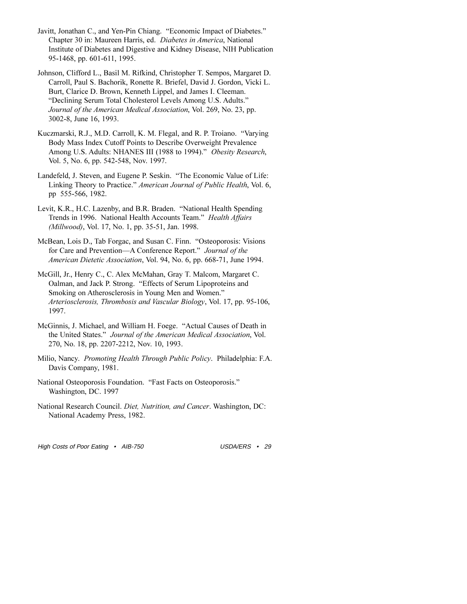- Javitt, Jonathan C., and Yen-Pin Chiang. "Economic Impact of Diabetes." Chapter 30 in: Maureen Harris, ed. *Diabetes in America*, National Institute of Diabetes and Digestive and Kidney Disease, NIH Publication 95-1468, pp. 601-611, 1995.
- Johnson, Clifford L., Basil M. Rifkind, Christopher T. Sempos, Margaret D. Carroll, Paul S. Bachorik, Ronette R. Briefel, David J. Gordon, Vicki L. Burt, Clarice D. Brown, Kenneth Lippel, and James I. Cleeman. Declining Serum Total Cholesterol Levels Among U.S. Adults. *Journal of the American Medical Association*, Vol. 269, No. 23, pp. 3002-8, June 16, 1993.
- Kuczmarski, R.J., M.D. Carroll, K. M. Flegal, and R. P. Troiano. "Varying Body Mass Index Cutoff Points to Describe Overweight Prevalence Among U.S. Adults: NHANES III (1988 to 1994). *Obesity Research*, Vol. 5, No. 6, pp. 542-548, Nov. 1997.
- Landefeld, J. Steven, and Eugene P. Seskin. "The Economic Value of Life: Linking Theory to Practice. *American Journal of Public Health*, Vol. 6, pp 555-566, 1982.
- Levit, K.R., H.C. Lazenby, and B.R. Braden. "National Health Spending Trends in 1996. National Health Accounts Team. *Health Affairs (Millwood)*, Vol. 17, No. 1, pp. 35-51, Jan. 1998.
- McBean, Lois D., Tab Forgac, and Susan C. Finn. "Osteoporosis: Visions for Care and Prevention-A Conference Report." Journal of the *American Dietetic Association*, Vol. 94, No. 6, pp. 668-71, June 1994.
- McGill, Jr., Henry C., C. Alex McMahan, Gray T. Malcom, Margaret C. Oalman, and Jack P. Strong. "Effects of Serum Lipoproteins and Smoking on Atherosclerosis in Young Men and Women. *Arteriosclerosis, Thrombosis and Vascular Biology*, Vol. 17, pp. 95-106, 1997.
- McGinnis, J. Michael, and William H. Foege. "Actual Causes of Death in the United States." Journal of the American Medical Association, Vol. 270, No. 18, pp. 2207-2212, Nov. 10, 1993.
- Milio, Nancy. *Promoting Health Through Public Policy*. Philadelphia: F.A. Davis Company, 1981.
- National Osteoporosis Foundation. "Fast Facts on Osteoporosis." Washington, DC. 1997
- National Research Council. *Diet, Nutrition, and Cancer*. Washington, DC: National Academy Press, 1982.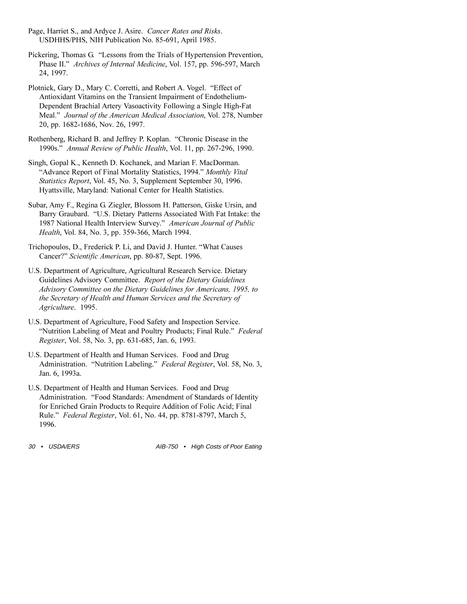- Page, Harriet S., and Ardyce J. Asire. *Cancer Rates and Risks*. USDHHS/PHS, NIH Publication No. 85-691, April 1985.
- Pickering, Thomas G. "Lessons from the Trials of Hypertension Prevention, Phase II." Archives of Internal Medicine, Vol. 157, pp. 596-597, March 24, 1997.
- Plotnick, Gary D., Mary C. Corretti, and Robert A. Vogel. "Effect of Antioxidant Vitamins on the Transient Impairment of Endothelium-Dependent Brachial Artery Vasoactivity Following a Single High-Fat Meal. *Journal of the American Medical Association*, Vol. 278, Number 20, pp. 1682-1686, Nov. 26, 1997.
- Rothenberg, Richard B. and Jeffrey P. Koplan. "Chronic Disease in the 1990s. *Annual Review of Public Health*, Vol. 11, pp. 267-296, 1990.
- Singh, Gopal K., Kenneth D. Kochanek, and Marian F. MacDorman. Advance Report of Final Mortality Statistics, 1994. *Monthly Vital Statistics Report*, Vol. 45, No. 3, Supplement September 30, 1996. Hyattsville, Maryland: National Center for Health Statistics.
- Subar, Amy F., Regina G. Ziegler, Blossom H. Patterson, Giske Ursin, and Barry Graubard. "U.S. Dietary Patterns Associated With Fat Intake: the 1987 National Health Interview Survey. *American Journal of Public Health*, Vol. 84, No. 3, pp. 359-366, March 1994.
- Trichopoulos, D., Frederick P. Li, and David J. Hunter. What Causes Cancer?" *Scientific American*, pp. 80-87, Sept. 1996.
- U.S. Department of Agriculture, Agricultural Research Service. Dietary Guidelines Advisory Committee. *Report of the Dietary Guidelines Advisory Committee on the Dietary Guidelines for Americans, 1995, to the Secretary of Health and Human Services and the Secretary of Agriculture*. 1995.
- U.S. Department of Agriculture, Food Safety and Inspection Service. "Nutrition Labeling of Meat and Poultry Products; Final Rule." Federal *Register*, Vol. 58, No. 3, pp. 631-685, Jan. 6, 1993.
- U.S. Department of Health and Human Services. Food and Drug Administration. "Nutrition Labeling." *Federal Register*, Vol. 58, No. 3, Jan. 6, 1993a.
- U.S. Department of Health and Human Services. Food and Drug Administration. "Food Standards: Amendment of Standards of Identity for Enriched Grain Products to Require Addition of Folic Acid; Final Rule. *Federal Register*, Vol. 61, No. 44, pp. 8781-8797, March 5, 1996.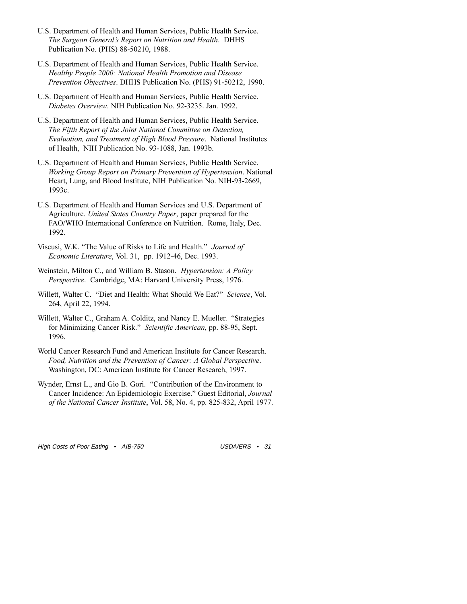- U.S. Department of Health and Human Services, Public Health Service. *The Surgeon General's Report on Nutrition and Health.* **DHHS** Publication No. (PHS) 88-50210, 1988.
- U.S. Department of Health and Human Services, Public Health Service. *Healthy People 2000: National Health Promotion and Disease Prevention Objectives*. DHHS Publication No. (PHS) 91-50212, 1990.
- U.S. Department of Health and Human Services, Public Health Service. *Diabetes Overview*. NIH Publication No. 92-3235. Jan. 1992.
- U.S. Department of Health and Human Services, Public Health Service. *The Fifth Report of the Joint National Committee on Detection, Evaluation, and Treatment of High Blood Pressure*. National Institutes of Health, NIH Publication No. 93-1088, Jan. 1993b.
- U.S. Department of Health and Human Services, Public Health Service. *Working Group Report on Primary Prevention of Hypertension*. National Heart, Lung, and Blood Institute, NIH Publication No. NIH-93-2669, 1993c.
- U.S. Department of Health and Human Services and U.S. Department of Agriculture. *United States Country Paper*, paper prepared for the FAO/WHO International Conference on Nutrition. Rome, Italy, Dec. 1992.
- Viscusi, W.K. The Value of Risks to Life and Health. *Journal of Economic Literature*, Vol. 31, pp. 1912-46, Dec. 1993.
- Weinstein, Milton C., and William B. Stason. *Hypertension: A Policy Perspective*. Cambridge, MA: Harvard University Press, 1976.
- Willett, Walter C. "Diet and Health: What Should We Eat?" Science, Vol. 264, April 22, 1994.
- Willett, Walter C., Graham A. Colditz, and Nancy E. Mueller. "Strategies for Minimizing Cancer Risk." Scientific American, pp. 88-95, Sept. 1996.
- World Cancer Research Fund and American Institute for Cancer Research. *Food, Nutrition and the Prevention of Cancer: A Global Perspective*. Washington, DC: American Institute for Cancer Research, 1997.
- Wynder, Ernst L., and Gio B. Gori. "Contribution of the Environment to Cancer Incidence: An Epidemiologic Exercise." Guest Editorial, *Journal of the National Cancer Institute*, Vol. 58, No. 4, pp. 825-832, April 1977.